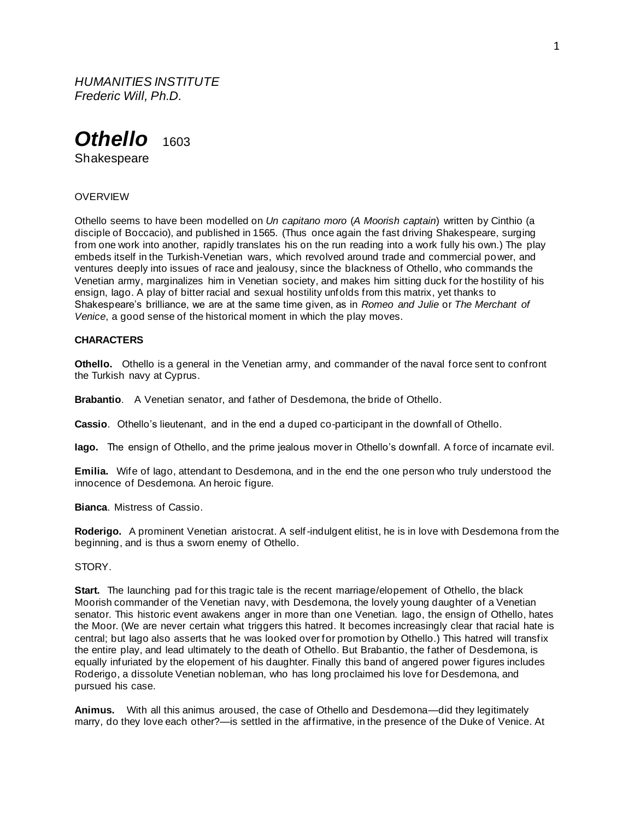*HUMANITIES INSTITUTE Frederic Will, Ph.D.*



Shakespeare

## **OVERVIEW**

Othello seems to have been modelled on *Un capitano moro* (*A Moorish captain*) written by Cinthio (a disciple of Boccacio), and published in 1565. (Thus once again the fast driving Shakespeare, surging from one work into another, rapidly translates his on the run reading into a work fully his own.) The play embeds itself in the Turkish-Venetian wars, which revolved around trade and commercial power, and ventures deeply into issues of race and jealousy, since the blackness of Othello, who commands the Venetian army, marginalizes him in Venetian society, and makes him sitting duck for the hostility of his ensign, Iago. A play of bitter racial and sexual hostility unfolds from this matrix, yet thanks to Shakespeare's brilliance, we are at the same time given, as in *Romeo and Julie* or *The Merchant of Venice*, a good sense of the historical moment in which the play moves.

## **CHARACTERS**

**Othello.** Othello is a general in the Venetian army, and commander of the naval force sent to confront the Turkish navy at Cyprus.

**Brabantio**. A Venetian senator, and father of Desdemona, the bride of Othello.

**Cassio**. Othello's lieutenant, and in the end a duped co-participant in the downfall of Othello.

**Iago.** The ensign of Othello, and the prime jealous mover in Othello's downfall. A force of incarnate evil.

**Emilia.** Wife of Iago, attendant to Desdemona, and in the end the one person who truly understood the innocence of Desdemona. An heroic figure.

**Bianca**. Mistress of Cassio.

**Roderigo.** A prominent Venetian aristocrat. A self-indulgent elitist, he is in love with Desdemona from the beginning, and is thus a sworn enemy of Othello.

## STORY.

**Start.** The launching pad for this tragic tale is the recent marriage/elopement of Othello, the black Moorish commander of the Venetian navy, with Desdemona, the lovely young daughter of a Venetian senator. This historic event awakens anger in more than one Venetian. Iago, the ensign of Othello, hates the Moor. (We are never certain what triggers this hatred. It becomes increasingly clear that racial hate is central; but Iago also asserts that he was looked over for promotion by Othello.) This hatred will transfix the entire play, and lead ultimately to the death of Othello. But Brabantio, the father of Desdemona, is equally infuriated by the elopement of his daughter. Finally this band of angered power figures includes Roderigo, a dissolute Venetian nobleman, who has long proclaimed his love for Desdemona, and pursued his case.

**Animus.** With all this animus aroused, the case of Othello and Desdemona—did they legitimately marry, do they love each other?—is settled in the affirmative, in the presence of the Duke of Venice. At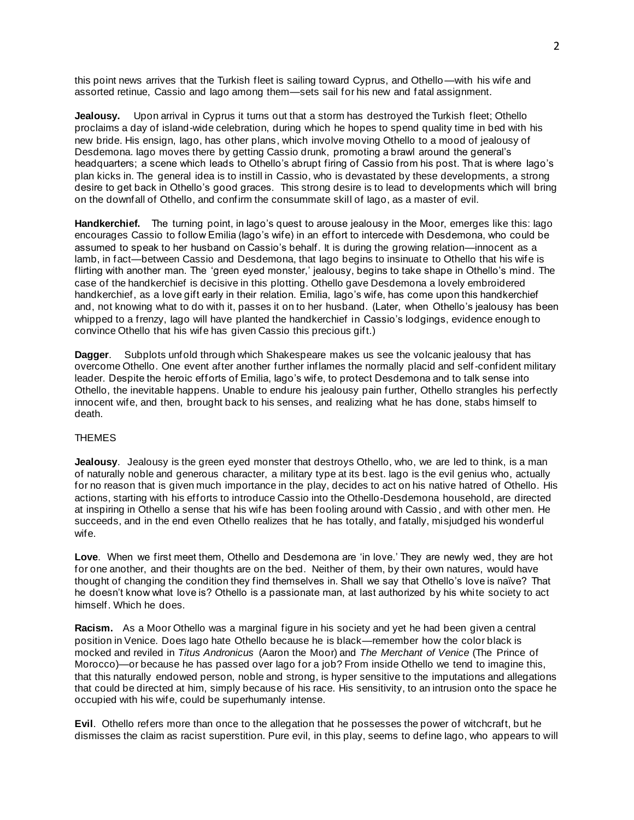this point news arrives that the Turkish fleet is sailing toward Cyprus, and Othello—with his wife and assorted retinue, Cassio and Iago among them—sets sail for his new and fatal assignment.

**Jealousy.** Upon arrival in Cyprus it turns out that a storm has destroyed the Turkish fleet; Othello proclaims a day of island-wide celebration, during which he hopes to spend quality time in bed with his new bride. His ensign, Iago, has other plans, which involve moving Othello to a mood of jealousy of Desdemona. Iago moves there by getting Cassio drunk, promoting a brawl around the general's headquarters; a scene which leads to Othello's abrupt firing of Cassio from his post. That is where lago's plan kicks in. The general idea is to instill in Cassio, who is devastated by these developments, a strong desire to get back in Othello's good graces. This strong desire is to lead to developments which will bring on the downfall of Othello, and confirm the consummate skill of Iago, as a master of evil.

**Handkerchief.** The turning point, in Iago's quest to arouse jealousy in the Moor, emerges like this: Iago encourages Cassio to follow Emilia (lago's wife) in an effort to intercede with Desdemona, who could be assumed to speak to her husband on Cassio's behalf. It is during the growing relation—innocent as a lamb, in fact—between Cassio and Desdemona, that Iago begins to insinuate to Othello that his wife is flirting with another man. The 'green eyed monster,' jealousy, begins to take shape in Othello's mind. The case of the handkerchief is decisive in this plotting. Othello gave Desdemona a lovely embroidered handkerchief, as a love gift early in their relation. Emilia, Iago's wife, has come upon this handkerchief and, not knowing what to do with it, passes it on to her husband. (Later, when Othello's jealousy has been whipped to a frenzy, Iago will have planted the handkerchief in Cassio's lodgings, evidence enough to convince Othello that his wife has given Cassio this precious gift.)

**Dagger**. Subplots unfold through which Shakespeare makes us see the volcanic jealousy that has overcome Othello. One event after another further inflames the normally placid and self-confident military leader. Despite the heroic efforts of Emilia, Iago's wife, to protect Desdemona and to talk sense into Othello, the inevitable happens. Unable to endure his jealousy pain further, Othello strangles his perfectly innocent wife, and then, brought back to his senses, and realizing what he has done, stabs himself to death.

## THEMES

**Jealousy**. Jealousy is the green eyed monster that destroys Othello, who, we are led to think, is a man of naturally noble and generous character, a military type at its best. Iago is the evil genius who, actually for no reason that is given much importance in the play, decides to act on his native hatred of Othello. His actions, starting with his efforts to introduce Cassio into the Othello-Desdemona household, are directed at inspiring in Othello a sense that his wife has been fooling around with Cassio , and with other men. He succeeds, and in the end even Othello realizes that he has totally, and fatally, misjudged his wonderful wife.

**Love**. When we first meet them, Othello and Desdemona are 'in love.' They are newly wed, they are hot for one another, and their thoughts are on the bed. Neither of them, by their own natures, would have thought of changing the condition they find themselves in. Shall we say that Othello's love is naïve? That he doesn't know what love is? Othello is a passionate man, at last authorized by his white society to act himself. Which he does.

**Racism.** As a Moor Othello was a marginal figure in his society and yet he had been given a central position in Venice. Does Iago hate Othello because he is black—remember how the color black is mocked and reviled in *Titus Andronicus* (Aaron the Moor) and *The Merchant of Venice* (The Prince of Morocco)—or because he has passed over Iago for a job? From inside Othello we tend to imagine this, that this naturally endowed person, noble and strong, is hyper sensitive to the imputations and allegations that could be directed at him, simply because of his race. His sensitivity, to an intrusion onto the space he occupied with his wife, could be superhumanly intense.

**Evil**. Othello refers more than once to the allegation that he possesses the power of witchcraft, but he dismisses the claim as racist superstition. Pure evil, in this play, seems to define Iago, who appears to will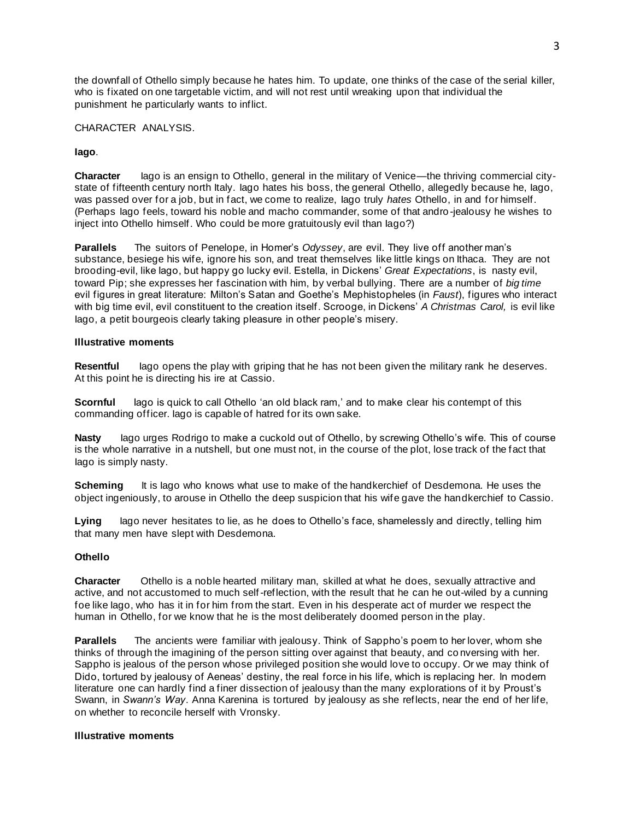the downfall of Othello simply because he hates him. To update, one thinks of the case of the serial killer, who is fixated on one targetable victim, and will not rest until wreaking upon that individual the punishment he particularly wants to inflict.

# CHARACTER ANALYSIS.

# **Iago**.

**Character** Iago is an ensign to Othello, general in the military of Venice—the thriving commercial citystate of fifteenth century north Italy. Iago hates his boss, the general Othello, allegedly because he, Iago, was passed over for a job, but in fact, we come to realize, Iago truly *hates* Othello, in and for himself. (Perhaps Iago feels, toward his noble and macho commander, some of that andro -jealousy he wishes to inject into Othello himself. Who could be more gratuitously evil than Iago?)

**Parallels** The suitors of Penelope, in Homer's *Odyssey*, are evil. They live off another man's substance, besiege his wife, ignore his son, and treat themselves like little kings on Ithaca. They are not brooding-evil, like Iago, but happy go lucky evil. Estella, in Dickens' *Great Expectations*, is nasty evil, toward Pip; she expresses her fascination with him, by verbal bullying. There are a number of *big time* evil figures in great literature: Milton's Satan and Goethe's Mephistopheles (in *Faust*), figures who interact with big time evil, evil constituent to the creation itself. Scrooge, in Dickens' *A Christmas Carol,* is evil like Iago, a petit bourgeois clearly taking pleasure in other people's misery.

# **Illustrative moments**

**Resentful** Iago opens the play with griping that he has not been given the military rank he deserves. At this point he is directing his ire at Cassio.

**Scornful** lago is quick to call Othello 'an old black ram,' and to make clear his contempt of this commanding officer. Iago is capable of hatred for its own sake.

**Nasty** Iago urges Rodrigo to make a cuckold out of Othello, by screwing Othello's wife. This of course is the whole narrative in a nutshell, but one must not, in the course of the plot, lose track of the fact that Iago is simply nasty.

**Scheming** It is lago who knows what use to make of the handkerchief of Desdemona. He uses the object ingeniously, to arouse in Othello the deep suspicion that his wife gave the handkerchief to Cassio.

**Lying** Iago never hesitates to lie, as he does to Othello's face, shamelessly and directly, telling him that many men have slept with Desdemona.

## **Othello**

**Character** Othello is a noble hearted military man, skilled at what he does, sexually attractive and active, and not accustomed to much self-reflection, with the result that he can he out-wiled by a cunning foe like Iago, who has it in for him from the start. Even in his desperate act of murder we respect the human in Othello, for we know that he is the most deliberately doomed person in the play.

**Parallels** The ancients were familiar with jealousy. Think of Sappho's poem to her lover, whom she thinks of through the imagining of the person sitting over against that beauty, and co nversing with her. Sappho is jealous of the person whose privileged position she would love to occupy. Or we may think of Dido, tortured by jealousy of Aeneas' destiny, the real force in his life, which is replacing her. In modern literature one can hardly find a finer dissection of jealousy than the many explorations of it by Proust's Swann, in *Swann's Way*. Anna Karenina is tortured by jealousy as she reflects, near the end of her life, on whether to reconcile herself with Vronsky.

## **Illustrative moments**